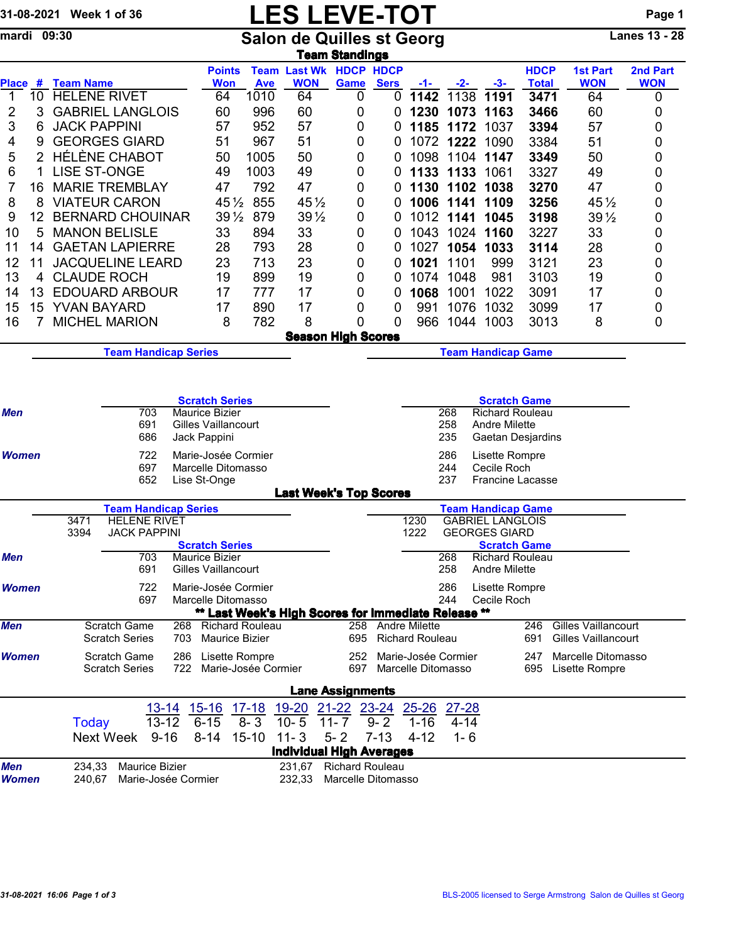## 31-08-2021 Week 1 of 36 LES LEVE-TOT Page 1<br>
mardi 09:30 Salon de Quilles st Georg Lanes 13 - 28

mardi 09:30 Salon de Quilles st Georg Lanes 13 - 28 <u>Team Standings</u>

| Place #                                           |         | <b>Team Name</b>                                                                                    |                                                                                                                                          |            | <b>Points</b><br><b>Won</b>                                                                                                                                                                                                                        | <b>Ave</b>                    | <b>Team Last Wk</b><br><b>WON</b>                                            | <b>HDCP HDCP</b><br>Game                                                                                      | <b>Sers</b>         | -1-                               | -2-                                                         | $-3-$                                                                                                                                                                                                                                                                                                                             | <b>HDCP</b><br><b>Total</b> | <b>1st Part</b><br><b>WON</b>                            | <b>2nd Part</b><br><b>WON</b> |
|---------------------------------------------------|---------|-----------------------------------------------------------------------------------------------------|------------------------------------------------------------------------------------------------------------------------------------------|------------|----------------------------------------------------------------------------------------------------------------------------------------------------------------------------------------------------------------------------------------------------|-------------------------------|------------------------------------------------------------------------------|---------------------------------------------------------------------------------------------------------------|---------------------|-----------------------------------|-------------------------------------------------------------|-----------------------------------------------------------------------------------------------------------------------------------------------------------------------------------------------------------------------------------------------------------------------------------------------------------------------------------|-----------------------------|----------------------------------------------------------|-------------------------------|
| 1                                                 | 10      | <b>HELENE RIVET</b>                                                                                 |                                                                                                                                          |            | 64                                                                                                                                                                                                                                                 | 1010                          | 64                                                                           | 0                                                                                                             | 0                   | 1142                              | 1138                                                        | 1191                                                                                                                                                                                                                                                                                                                              | 3471                        | 64                                                       | 0                             |
| 2                                                 | 3       |                                                                                                     | <b>GABRIEL LANGLOIS</b>                                                                                                                  |            | 60                                                                                                                                                                                                                                                 | 996                           | 60                                                                           | 0                                                                                                             | 0                   | 1230                              | 1073                                                        | 1163                                                                                                                                                                                                                                                                                                                              | 3466                        | 60                                                       | 0                             |
| 3                                                 | 6       | <b>JACK PAPPINI</b>                                                                                 |                                                                                                                                          | 57         | 952                                                                                                                                                                                                                                                | 57                            | 0                                                                            | 0                                                                                                             | 1185                | 1172                              | 1037                                                        | 3394                                                                                                                                                                                                                                                                                                                              | 57                          | 0                                                        |                               |
| 4                                                 | 9       | <b>GEORGES GIARD</b>                                                                                |                                                                                                                                          | 51         | 967                                                                                                                                                                                                                                                | 51                            | 0                                                                            | 0                                                                                                             |                     | 1072 1222                         | 1090                                                        | 3384                                                                                                                                                                                                                                                                                                                              | 51                          | 0                                                        |                               |
| 5                                                 | 2       | <b>HÉLÈNE CHABOT</b>                                                                                |                                                                                                                                          |            | 50                                                                                                                                                                                                                                                 | 1005                          | 50                                                                           | 0                                                                                                             | 0                   |                                   | 1098 1104 1147                                              |                                                                                                                                                                                                                                                                                                                                   | 3349                        | 50                                                       | 0                             |
| 6                                                 | 1       | <b>LISE ST-ONGE</b>                                                                                 |                                                                                                                                          |            | 49<br>1003                                                                                                                                                                                                                                         |                               | 49                                                                           | 0                                                                                                             | 0                   |                                   | 1133 1133 1061                                              |                                                                                                                                                                                                                                                                                                                                   | 3327                        | 49                                                       | 0                             |
| 7                                                 | 16      |                                                                                                     | <b>MARIE TREMBLAY</b>                                                                                                                    |            | 47                                                                                                                                                                                                                                                 | 792                           | 47                                                                           | 0                                                                                                             | 0                   |                                   | 1130 1102 1038                                              |                                                                                                                                                                                                                                                                                                                                   | 3270                        | 47                                                       | 0                             |
| 8                                                 | 8       |                                                                                                     | <b>VIATEUR CARON</b>                                                                                                                     |            | $45\frac{1}{2}$                                                                                                                                                                                                                                    | 855                           | $45\frac{1}{2}$                                                              | 0                                                                                                             | 0                   |                                   | 1006 1141                                                   | 1109                                                                                                                                                                                                                                                                                                                              | 3256                        | $45\frac{1}{2}$                                          | 0                             |
| 9                                                 | 12      |                                                                                                     | <b>BERNARD CHOUINAR</b>                                                                                                                  |            | $39\frac{1}{2}$                                                                                                                                                                                                                                    | 879                           | $39\frac{1}{2}$                                                              | 0                                                                                                             | 0                   |                                   | 1012 1141                                                   | 1045                                                                                                                                                                                                                                                                                                                              | 3198                        | $39\frac{1}{2}$                                          | 0                             |
| 10                                                | 5       |                                                                                                     | <b>MANON BELISLE</b>                                                                                                                     |            | 33                                                                                                                                                                                                                                                 | 894                           | 33                                                                           | 0                                                                                                             | 0                   |                                   | 1043 1024 1160                                              |                                                                                                                                                                                                                                                                                                                                   | 3227                        | 33                                                       | 0                             |
| 11                                                | 14      |                                                                                                     | <b>GAETAN LAPIERRE</b><br><b>JACQUELINE LEARD</b>                                                                                        |            | 28                                                                                                                                                                                                                                                 | 793                           | 28                                                                           | 0                                                                                                             | 0                   | 1027                              | 1054 1033                                                   |                                                                                                                                                                                                                                                                                                                                   | 3114                        | 28                                                       | 0                             |
| 12<br>13                                          | 11      | <b>CLAUDE ROCH</b>                                                                                  |                                                                                                                                          |            | 23                                                                                                                                                                                                                                                 | 713                           | 23<br>19                                                                     | 0                                                                                                             | 0                   | 1021<br>1074                      | 1101<br>1048                                                | 999<br>981                                                                                                                                                                                                                                                                                                                        | 3121<br>3103                | 23<br>19                                                 | 0                             |
| 14                                                | 4<br>13 |                                                                                                     | <b>EDOUARD ARBOUR</b>                                                                                                                    |            | 19<br>17                                                                                                                                                                                                                                           | 899<br>777                    | 17                                                                           | 0<br>0                                                                                                        | 0<br>0              | 1068                              | 1001                                                        | 1022                                                                                                                                                                                                                                                                                                                              | 3091                        | 17                                                       | 0                             |
| 15                                                | 15      | <b>YVAN BAYARD</b>                                                                                  |                                                                                                                                          |            | 17                                                                                                                                                                                                                                                 | 890                           | 17                                                                           | 0                                                                                                             | 0                   | 991                               | 1076                                                        | 1032                                                                                                                                                                                                                                                                                                                              | 3099                        | 17                                                       | 0<br>0                        |
| 16                                                | 7       |                                                                                                     | <b>MICHEL MARION</b>                                                                                                                     |            | 8                                                                                                                                                                                                                                                  | 782                           | 8                                                                            | 0                                                                                                             | 0                   | 966                               | 1044                                                        | 1003                                                                                                                                                                                                                                                                                                                              | 3013                        | 8                                                        | 0                             |
|                                                   |         |                                                                                                     |                                                                                                                                          |            |                                                                                                                                                                                                                                                    |                               | <b>Season High Scores</b>                                                    |                                                                                                               |                     |                                   |                                                             |                                                                                                                                                                                                                                                                                                                                   |                             |                                                          |                               |
|                                                   |         |                                                                                                     | <b>Team Handicap Series</b>                                                                                                              |            |                                                                                                                                                                                                                                                    |                               |                                                                              |                                                                                                               |                     |                                   |                                                             | <b>Team Handicap Game</b>                                                                                                                                                                                                                                                                                                         |                             |                                                          |                               |
| Men<br><b>Women</b><br><b>Men</b><br><b>Women</b> |         | 3471<br>3394                                                                                        | 703<br>691<br>686<br>722<br>697<br>652<br><b>Team Handicap Series</b><br><b>HELENE RIVET</b><br><b>JACK PAPPINI</b><br>703<br>691<br>722 |            | <b>Scratch Series</b><br>Maurice Bizier<br><b>Gilles Vaillancourt</b><br>Jack Pappini<br>Marie-Josée Cormier<br>Marcelle Ditomasso<br>Lise St-Onge<br><b>Scratch Series</b><br>Maurice Bizier<br><b>Gilles Vaillancourt</b><br>Marie-Josée Cormier |                               | <b>Last Week's Top Scores</b>                                                |                                                                                                               |                     | 1230<br>1222                      | 268<br>258<br>235<br>286<br>244<br>237<br>268<br>258<br>286 | <b>Scratch Game</b><br><b>Richard Rouleau</b><br><b>Andre Milette</b><br>Gaetan Desjardins<br>Lisette Rompre<br>Cecile Roch<br><b>Francine Lacasse</b><br><b>Team Handicap Game</b><br><b>GABRIEL LANGLOIS</b><br><b>GEORGES GIARD</b><br><b>Scratch Game</b><br><b>Richard Rouleau</b><br><b>Andre Milette</b><br>Lisette Rompre |                             |                                                          |                               |
|                                                   |         |                                                                                                     | 697                                                                                                                                      |            | Marcelle Ditomasso                                                                                                                                                                                                                                 |                               | ** Last Week's High Scores for Immediate Release **                          |                                                                                                               |                     |                                   | 244                                                         | Cecile Roch                                                                                                                                                                                                                                                                                                                       |                             |                                                          |                               |
| <b>Men</b>                                        |         |                                                                                                     | Scratch Game<br><b>Scratch Series</b>                                                                                                    | 268<br>703 | <b>Richard Rouleau</b><br><b>Maurice Bizier</b>                                                                                                                                                                                                    |                               |                                                                              | 695                                                                                                           | 258 Andre Milette   | <b>Richard Rouleau</b>            |                                                             |                                                                                                                                                                                                                                                                                                                                   | 246<br>691                  | <b>Gilles Vaillancourt</b><br><b>Gilles Vaillancourt</b> |                               |
| <b>Women</b>                                      |         | Lisette Rompre<br><b>Scratch Game</b><br>286<br>Marie-Josée Cormier<br><b>Scratch Series</b><br>722 |                                                                                                                                          |            |                                                                                                                                                                                                                                                    |                               |                                                                              | Marie-Josée Cormier<br>Marcelle Ditomasso<br>252<br>247<br>697<br>Marcelle Ditomasso<br>695<br>Lisette Rompre |                     |                                   |                                                             |                                                                                                                                                                                                                                                                                                                                   |                             |                                                          |                               |
|                                                   |         |                                                                                                     |                                                                                                                                          |            |                                                                                                                                                                                                                                                    |                               | <b>Lane Assignments</b>                                                      |                                                                                                               |                     |                                   |                                                             |                                                                                                                                                                                                                                                                                                                                   |                             |                                                          |                               |
|                                                   |         | Today                                                                                               | 13-14<br>$13 - 12$<br>Next Week<br>$9 - 16$                                                                                              |            | $15-16$<br>$6 - 15$<br>$8 - 14$                                                                                                                                                                                                                    | 17-18<br>$8 - 3$<br>$15 - 10$ | 19-20 21-22 23-24<br>$10 - 5$<br>$11 - 3$<br><b>Individual High Averages</b> | 11- 7<br>$5 - 2$                                                                                              | $9 - 2$<br>$7 - 13$ | $25 - 26$<br>$1 - 16$<br>$4 - 12$ | 27-28<br>4-14<br>1-6                                        |                                                                                                                                                                                                                                                                                                                                   |                             |                                                          |                               |
| <b>Men</b>                                        |         | 234,33                                                                                              | Maurice Bizier                                                                                                                           |            |                                                                                                                                                                                                                                                    |                               | 231,67                                                                       | <b>Richard Rouleau</b>                                                                                        |                     |                                   |                                                             |                                                                                                                                                                                                                                                                                                                                   |                             |                                                          |                               |
| <b>Women</b>                                      |         | 240,67                                                                                              | Marie-Josée Cormier                                                                                                                      |            |                                                                                                                                                                                                                                                    |                               | 232,33                                                                       | Marcelle Ditomasso                                                                                            |                     |                                   |                                                             |                                                                                                                                                                                                                                                                                                                                   |                             |                                                          |                               |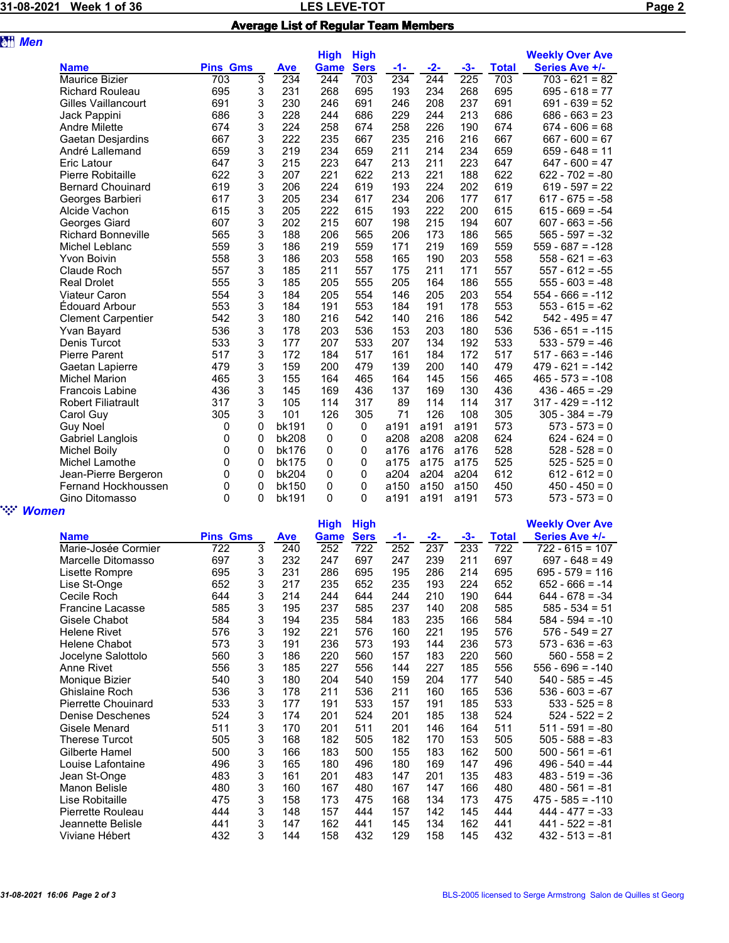## 31-08-2021 Week 1 of 36 **Page 2** LES LEVE-TOT Average List of Regular Team Members

| <b>att</b> Men |                            |                 |          |              |             |              |      |       |       |              |                        |
|----------------|----------------------------|-----------------|----------|--------------|-------------|--------------|------|-------|-------|--------------|------------------------|
|                |                            |                 |          |              | <b>High</b> | <b>High</b>  |      |       |       |              | <b>Weekly Over Ave</b> |
|                | <b>Name</b>                | <b>Pins Gms</b> |          | <b>Ave</b>   | <b>Game</b> | <b>Sers</b>  | -1-  | $-2-$ | $-3-$ | <b>Total</b> | <b>Series Ave +/-</b>  |
|                | <b>Maurice Bizier</b>      | 703             | 3        | 234          | 244         | 703          | 234  | 244   | 225   | 703          | $703 - 621 = 82$       |
|                | <b>Richard Rouleau</b>     | 695             | 3        | 231          | 268         | 695          | 193  | 234   | 268   | 695          | $695 - 618 = 77$       |
|                | <b>Gilles Vaillancourt</b> | 691             | 3        | 230          | 246         | 691          | 246  | 208   | 237   | 691          | $691 - 639 = 52$       |
|                | Jack Pappini               | 686             | 3        | 228          | 244         | 686          | 229  | 244   | 213   | 686          | $686 - 663 = 23$       |
|                | <b>Andre Milette</b>       | 674             | 3        | 224          | 258         | 674          | 258  | 226   | 190   | 674          | $674 - 606 = 68$       |
|                | Gaetan Desjardins          | 667             | 3        | 222          | 235         | 667          | 235  | 216   | 216   | 667          | $667 - 600 = 67$       |
|                | André Lallemand            | 659             | 3        | 219          | 234         | 659          | 211  | 214   | 234   | 659          | $659 - 648 = 11$       |
|                | Eric Latour                | 647             | 3        | 215          | 223         | 647          | 213  | 211   | 223   | 647          | $647 - 600 = 47$       |
|                | Pierre Robitaille          | 622             | 3        | 207          | 221         | 622          | 213  | 221   | 188   | 622          | $622 - 702 = -80$      |
|                | <b>Bernard Chouinard</b>   | 619             | 3        | 206          | 224         | 619          | 193  | 224   | 202   | 619          | $619 - 597 = 22$       |
|                | Georges Barbieri           | 617             | 3        | 205          | 234         | 617          | 234  | 206   | 177   | 617          | $617 - 675 = -58$      |
|                | Alcide Vachon              | 615             | 3        | 205          | 222         | 615          | 193  | 222   | 200   | 615          | $615 - 669 = -54$      |
|                | Georges Giard              | 607             | 3        | 202          | 215         | 607          | 198  | 215   | 194   | 607          | $607 - 663 = -56$      |
|                | <b>Richard Bonneville</b>  | 565             | 3        | 188          | 206         | 565          | 206  | 173   | 186   | 565          | $565 - 597 = -32$      |
|                | Michel Leblanc             | 559             | 3        | 186          | 219         | 559          | 171  | 219   | 169   | 559          | $559 - 687 = -128$     |
|                | <b>Yvon Boivin</b>         | 558             | 3        | 186          | 203         | 558          | 165  | 190   | 203   | 558          | $558 - 621 = -63$      |
|                | Claude Roch                | 557             | 3        | 185          | 211         | 557          | 175  | 211   | 171   | 557          | $557 - 612 = -55$      |
|                | <b>Real Drolet</b>         | 555             | 3        | 185          | 205         | 555          | 205  | 164   | 186   | 555          | $555 - 603 = -48$      |
|                | <b>Viateur Caron</b>       | 554             | 3        | 184          | 205         | 554          | 146  | 205   | 203   | 554          | $554 - 666 = -112$     |
|                | <b>Édouard Arbour</b>      | 553             | 3        | 184          | 191         | 553          | 184  | 191   | 178   | 553          | $553 - 615 = -62$      |
|                | <b>Clement Carpentier</b>  | 542             | 3        | 180          | 216         | 542          | 140  | 216   | 186   | 542          | $542 - 495 = 47$       |
|                | Yvan Bayard                | 536             | 3        | 178          | 203         | 536          | 153  | 203   | 180   | 536          | $536 - 651 = -115$     |
|                | Denis Turcot               | 533             | 3        | 177          | 207         | 533          | 207  | 134   | 192   | 533          | $533 - 579 = -46$      |
|                | <b>Pierre Parent</b>       | 517             | 3        | 172          | 184         | 517          | 161  | 184   | 172   | 517          | $517 - 663 = -146$     |
|                | Gaetan Lapierre            | 479             | 3        | 159          | 200         | 479          | 139  | 200   | 140   | 479          | $479 - 621 = -142$     |
|                | <b>Michel Marion</b>       | 465             | 3        | 155          | 164         | 465          | 164  | 145   | 156   | 465          | $465 - 573 = -108$     |
|                | <b>Francois Labine</b>     | 436             | 3        | 145          | 169         | 436          | 137  | 169   | 130   | 436          | $436 - 465 = -29$      |
|                | <b>Robert Filiatrault</b>  | 317             | 3        | 105          | 114         | 317          | 89   | 114   | 114   | 317          | $317 - 429 = -112$     |
|                | Carol Guy                  | 305             | 3        | 101          | 126         | 305          | 71   | 126   | 108   | 305          | $305 - 384 = -79$      |
|                | Guy Noel                   | 0               | 0        | bk191        | $\mathbf 0$ | $\mathbf 0$  | a191 | a191  | a191  | 573          | $573 - 573 = 0$        |
|                | Gabriel Langlois           | 0               | 0        | bk208        | 0           | 0            | a208 | a208  | a208  | 624          | $624 - 624 = 0$        |
|                | <b>Michel Boily</b>        | 0               | 0        | <b>bk176</b> | 0           | 0            | a176 | a176  | a176  | 528          | $528 - 528 = 0$        |
|                | Michel Lamothe             | 0               | 0        | <b>bk175</b> | 0           | $\mathbf 0$  | a175 | a175  | a175  | 525          | $525 - 525 = 0$        |
|                | Jean-Pierre Bergeron       | 0               | $\Omega$ | bk204        | 0           | $\mathbf 0$  | a204 | a204  | a204  | 612          | $612 - 612 = 0$        |
|                | Fernand Hockhoussen        | 0               | 0        | bk150        | 0           | 0            | a150 | a150  | a150  | 450          | $450 - 450 = 0$        |
|                | Gino Ditomasso             | 0               | 0        | bk191        | 0           | $\mathbf{0}$ | a191 | a191  | a191  | 573          | $573 - 573 = 0$        |
| <b>Women</b>   |                            |                 |          |              |             |              |      |       |       |              |                        |

|                            |                 |   |            | <b>High</b> | <b>High</b> |     |       |       |              | <b>Weekly Over Ave</b> |
|----------------------------|-----------------|---|------------|-------------|-------------|-----|-------|-------|--------------|------------------------|
| <b>Name</b>                | <b>Pins Gms</b> |   | <b>Ave</b> | Game        | <b>Sers</b> | -1- | $-2-$ | $-3-$ | <b>Total</b> | Series Ave +/-         |
| Marie-Josée Cormier        | 722             | 3 | 240        | 252         | 722         | 252 | 237   | 233   | 722          | $722 - 615 = 107$      |
| Marcelle Ditomasso         | 697             | 3 | 232        | 247         | 697         | 247 | 239   | 211   | 697          | $697 - 648 = 49$       |
| Lisette Rompre             | 695             | 3 | 231        | 286         | 695         | 195 | 286   | 214   | 695          | $695 - 579 = 116$      |
| Lise St-Onge               | 652             | 3 | 217        | 235         | 652         | 235 | 193   | 224   | 652          | $652 - 666 = -14$      |
| Cecile Roch                | 644             | 3 | 214        | 244         | 644         | 244 | 210   | 190   | 644          | $644 - 678 = -34$      |
| Francine Lacasse           | 585             | 3 | 195        | 237         | 585         | 237 | 140   | 208   | 585          | $585 - 534 = 51$       |
| Gisele Chabot              | 584             | 3 | 194        | 235         | 584         | 183 | 235   | 166   | 584          | $584 - 594 = -10$      |
| <b>Helene Rivet</b>        | 576             | 3 | 192        | 221         | 576         | 160 | 221   | 195   | 576          | $576 - 549 = 27$       |
| Helene Chabot              | 573             | 3 | 191        | 236         | 573         | 193 | 144   | 236   | 573          | $573 - 636 = -63$      |
| Jocelyne Salottolo         | 560             | 3 | 186        | 220         | 560         | 157 | 183   | 220   | 560          | $560 - 558 = 2$        |
| Anne Rivet                 | 556             | 3 | 185        | 227         | 556         | 144 | 227   | 185   | 556          | $556 - 696 = -140$     |
| Monique Bizier             | 540             | 3 | 180        | 204         | 540         | 159 | 204   | 177   | 540          | $540 - 585 = -45$      |
| Ghislaine Roch             | 536             | 3 | 178        | 211         | 536         | 211 | 160   | 165   | 536          | $536 - 603 = -67$      |
| <b>Pierrette Chouinard</b> | 533             | 3 | 177        | 191         | 533         | 157 | 191   | 185   | 533          | $533 - 525 = 8$        |
| Denise Deschenes           | 524             | 3 | 174        | 201         | 524         | 201 | 185   | 138   | 524          | $524 - 522 = 2$        |
| Gisele Menard              | 511             | 3 | 170        | 201         | 511         | 201 | 146   | 164   | 511          | $511 - 591 = -80$      |
| Therese Turcot             | 505             | 3 | 168        | 182         | 505         | 182 | 170   | 153   | 505          | $505 - 588 = -83$      |
| Gilberte Hamel             | 500             | 3 | 166        | 183         | 500         | 155 | 183   | 162   | 500          | $500 - 561 = -61$      |
| Louise Lafontaine          | 496             | 3 | 165        | 180         | 496         | 180 | 169   | 147   | 496          | $496 - 540 = -44$      |
| Jean St-Onge               | 483             | 3 | 161        | 201         | 483         | 147 | 201   | 135   | 483          | $483 - 519 = -36$      |
| Manon Belisle              | 480             | 3 | 160        | 167         | 480         | 167 | 147   | 166   | 480          | $480 - 561 = -81$      |
| Lise Robitaille            | 475             | 3 | 158        | 173         | 475         | 168 | 134   | 173   | 475          | $475 - 585 = -110$     |
| Pierrette Rouleau          | 444             | 3 | 148        | 157         | 444         | 157 | 142   | 145   | 444          | $444 - 477 = -33$      |
| Jeannette Belisle          | 441             | 3 | 147        | 162         | 441         | 145 | 134   | 162   | 441          | $441 - 522 = -81$      |
| Viviane Hébert             | 432             | 3 | 144        | 158         | 432         | 129 | 158   | 145   | 432          | $432 - 513 = -81$      |
|                            |                 |   |            |             |             |     |       |       |              |                        |